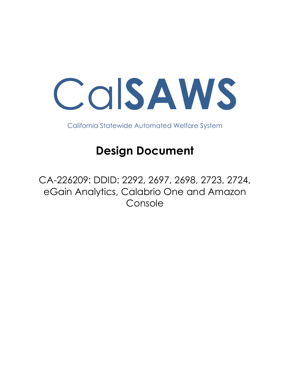

California Statewide Automated Welfare System

# **Design Document**

CA-226209: DDID: 2292, 2697, 2698, 2723, 2724, eGain Analytics, Calabrio One and Amazon Console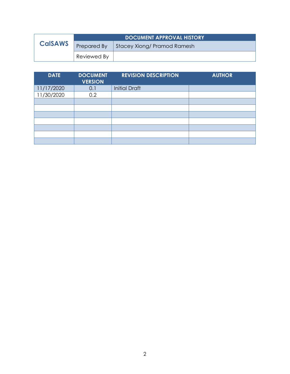|                | <b>DOCUMENT APPROVAL HISTORY</b> |                             |  |
|----------------|----------------------------------|-----------------------------|--|
| <b>CalSAWS</b> | Prepared By                      | Stacey Xiong/ Pramod Ramesh |  |
|                | Reviewed By                      |                             |  |

| <b>DATE</b> | <b>DOCUMENT</b><br><b>VERSION</b> | <b>REVISION DESCRIPTION</b> | <b>AUTHOR</b> |
|-------------|-----------------------------------|-----------------------------|---------------|
| 11/17/2020  | 0.1                               | <b>Initial Draft</b>        |               |
| 11/30/2020  | 0.2                               |                             |               |
|             |                                   |                             |               |
|             |                                   |                             |               |
|             |                                   |                             |               |
|             |                                   |                             |               |
|             |                                   |                             |               |
|             |                                   |                             |               |
|             |                                   |                             |               |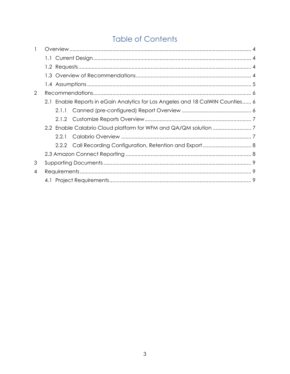# **Table of Contents**

| 1 |  |       |                                                                                |  |  |
|---|--|-------|--------------------------------------------------------------------------------|--|--|
|   |  |       |                                                                                |  |  |
|   |  |       |                                                                                |  |  |
|   |  |       |                                                                                |  |  |
|   |  |       |                                                                                |  |  |
| 2 |  |       |                                                                                |  |  |
|   |  |       | 2.1 Enable Reports in eGain Analytics for Los Angeles and 18 CalWIN Counties 6 |  |  |
|   |  | 2.1.1 |                                                                                |  |  |
|   |  |       |                                                                                |  |  |
|   |  |       |                                                                                |  |  |
|   |  | 2.2.1 |                                                                                |  |  |
|   |  |       |                                                                                |  |  |
|   |  |       |                                                                                |  |  |
| 3 |  |       |                                                                                |  |  |
| 4 |  |       |                                                                                |  |  |
|   |  |       |                                                                                |  |  |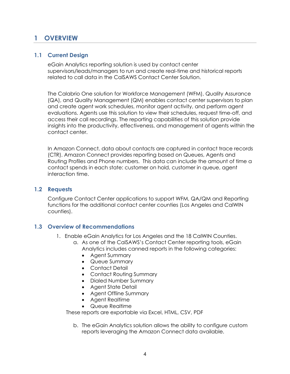## <span id="page-3-0"></span>**1 OVERVIEW**

#### <span id="page-3-1"></span>**1.1 Current Design**

eGain Analytics reporting solution is used by contact center supervisors/leads/managers to run and create real-time and historical reports related to call data in the CalSAWS Contact Center Solution.

The Calabrio One solution for Workforce Management (WFM), Quality Assurance (QA), and Quality Management (QM) enables contact center supervisors to plan and create agent work schedules, monitor agent activity, and perform agent evaluations. Agents use this solution to view their schedules, request time-off, and access their call recordings. The reporting capabilities of this solution provide insights into the productivity, effectiveness, and management of agents within the contact center.

In Amazon Connect, data about contacts are captured in contact trace records (CTR). Amazon Connect provides reporting based on Queues, Agents and Routing Profiles and Phone numbers. This data can include the amount of time a contact spends in each state: customer on hold, customer in queue, agent interaction time.

#### <span id="page-3-2"></span>**1.2 Requests**

Configure Contact Center applications to support WFM, QA/QM and Reporting functions for the additional contact center counties (Los Angeles and CalWIN counties).

#### <span id="page-3-3"></span>**1.3 Overview of Recommendations**

- 1. Enable eGain Analytics for Los Angeles and the 18 CalWIN Counties.
	- a. As one of the CalSAWS's Contact Center reporting tools, eGain Analytics includes canned reports in the following categories:
		- Agent Summary
		- Queue Summary
		- Contact Detail
		- Contact Routing Summary
		- Dialed Number Summary
		- Agent State Detail
		- Agent Offline Summary
		- Agent Realtime
		- Queue Realtime

These reports are exportable via Excel, HTML, CSV, PDF

b. The eGain Analytics solution allows the ability to configure custom reports leveraging the Amazon Connect data available.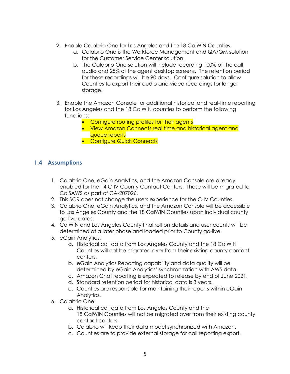- 2. Enable Calabrio One for Los Angeles and the 18 CalWIN Counties.
	- a. Calabrio One is the Workforce Management and QA/QM solution for the Customer Service Center solution.
	- b. The Calabrio One solution will include recording 100% of the call audio and 25% of the agent desktop screens. The retention period for these recordings will be 90 days. Configure solution to allow Counties to export their audio and video recordings for longer storage.
- 3. Enable the Amazon Console for additional historical and real-time reporting for Los Angeles and the 18 CalWIN counties to perform the following functions:
	- Configure routing profiles for their agents
	- View Amazon Connects real time and historical agent and queue reports
	- **Configure Quick Connects**

#### <span id="page-4-0"></span>**1.4 Assumptions**

- 1. Calabrio One, eGain Analytics, and the Amazon Console are already enabled for the 14 C-IV County Contact Centers. These will be migrated to CalSAWS as part of CA-207026.
- 2. This SCR does not change the users experience for the C-IV Counties.
- 3. Calabrio One, eGain Analytics, and the Amazon Console will be accessible to Los Angeles County and the 18 CalWIN Counties upon individual county go-live dates.
- 4. CalWIN and Los Angeles County final roll-on details and user counts will be determined at a later phase and loaded prior to County go-live.
- 5. eGain Analytics:
	- a. Historical call data from Los Angeles County and the 18 CalWIN Counties will not be migrated over from their existing county contact centers.
	- b. eGain Analytics Reporting capability and data quality will be determined by eGain Analytics' synchronization with AWS data.
	- c. Amazon Chat reporting is expected to release by end of June 2021.
	- d. Standard retention period for historical data is 3 years.
	- e. Counties are responsible for maintaining their reports within eGain Analytics.
- 6. Calabrio One:
	- a. Historical call data from Los Angeles County and the 18 CalWIN Counties will not be migrated over from their existing county contact centers.
	- b. Calabrio will keep their data model synchronized with Amazon.
	- c. Counties are to provide external storage for call reporting export.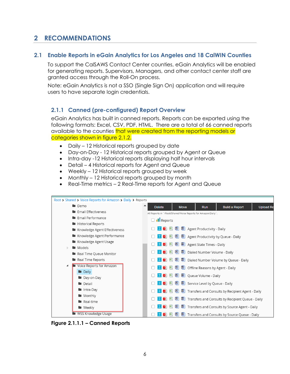# <span id="page-5-0"></span>**2 RECOMMENDATIONS**

#### <span id="page-5-1"></span>**2.1 Enable Reports in eGain Analytics for Los Angeles and 18 CalWIN Counties**

To support the CalSAWS Contact Center counties, eGain Analytics will be enabled for generating reports. Supervisors, Managers, and other contact center staff are granted access through the Roll-On process.

Note: eGain Analytics is not a SSO (Single Sign On) application and will require users to have separate login credentials.

#### <span id="page-5-2"></span>**2.1.1 Canned (pre-configured) Report Overview**

eGain Analytics has built in canned reports. Reports can be exported using the following formats: Excel, CSV, PDF, HTML. There are a total of 66 canned reports available to the counties that were created from the reporting models or categories shown in figure 2.1.2.

- Daily 12 Historical reports grouped by date
- Day-on-Day 12 Historical reports grouped by Agent or Queue
- Intra-day -12 Historical reports displaying half hour intervals
- Detail 4 Historical reports for Agent and Queue
- Weekly 12 Historical reports grouped by week
- Monthly 12 Historical reports grouped by month
- Real-Time metrics 2 Real-Time reports for Agent and Queue



**Figure 2.1.1.1 – Canned Reports**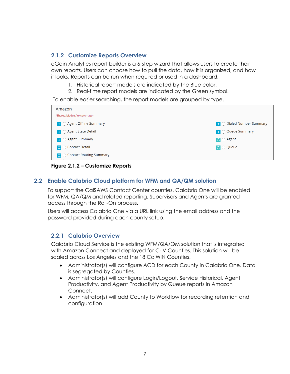#### <span id="page-6-0"></span>**2.1.2 Customize Reports Overview**

eGain Analytics report builder is a 6-step wizard that allows users to create their own reports. Users can choose how to pull the data, how it is organized, and how it looks. Reports can be run when required or used in a dashboard.

- 1. Historical report models are indicated by the Blue color.
- 2. Real-time report models are indicated by the Green symbol.

To enable easier searching, the report models are grouped by type.

| Amazon                                               |                                               |  |  |  |
|------------------------------------------------------|-----------------------------------------------|--|--|--|
| /Shared/Models/Voice/Amazon                          |                                               |  |  |  |
| $\mathbf{F} \bigcirc \mathsf{Agent}$ Offline Summary | $\mathbf{F} \bigcirc$ Dialed Number Summary   |  |  |  |
| $\mathbf{H} \bigcirc \mathsf{Agent}$ State Detail    | $\boxed{\mathbf{F}}$ $\bigcirc$ Queue Summary |  |  |  |
| $\mathbf{H} \bigcirc \mathsf{Agent}$ Summary         | $\overline{C}$ $\bigcirc$ Agent               |  |  |  |
| $\mathbf{F}$ $\bigcirc$ Contact Detail               | $\overline{C}$ $\bigcirc$ Queue               |  |  |  |
| $\mathbf{F} \bigcap$ Contact Routing Summary         |                                               |  |  |  |

**Figure 2.1.2 – Customize Reports**

#### <span id="page-6-1"></span>**2.2 Enable Calabrio Cloud platform for WFM and QA/QM solution**

To support the CalSAWS Contact Center counties, Calabrio One will be enabled for WFM, QA/QM and related reporting. Supervisors and Agents are granted access through the Roll-On process.

Users will access Calabrio One via a URL link using the email address and the password provided during each county setup.

#### <span id="page-6-2"></span>**2.2.1 Calabrio Overview**

Calabrio Cloud Service is the existing WFM/QA/QM solution that is integrated with Amazon Connect and deployed for C-IV Counties. This solution will be scaled across Los Angeles and the 18 CalWIN Counties.

- Administrator(s) will configure ACD for each County in Calabrio One. Data is segregated by Counties.
- Administrator(s) will configure Login/Logout, Service Historical, Agent Productivity, and Agent Productivity by Queue reports in Amazon Connect.
- Administrator(s) will add County to Workflow for recording retention and configuration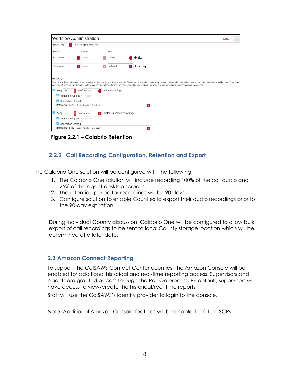| <b>Workflow Administration</b>                      |             |                              |                             | Cancel<br>Save                                                                                                                                                                                                                                                                                                                                                                                                    |
|-----------------------------------------------------|-------------|------------------------------|-----------------------------|-------------------------------------------------------------------------------------------------------------------------------------------------------------------------------------------------------------------------------------------------------------------------------------------------------------------------------------------------------------------------------------------------------------------|
| Match Any                                           |             | of following the conditions. |                             |                                                                                                                                                                                                                                                                                                                                                                                                                   |
| Condition                                           |             | Operator                     |                             | Value                                                                                                                                                                                                                                                                                                                                                                                                             |
| Call Direction                                      | $\bullet$   | Equals                       |                             | Inbound                                                                                                                                                                                                                                                                                                                                                                                                           |
| Call Direction                                      | ×.          | Equals                       |                             | Outbound<br>×                                                                                                                                                                                                                                                                                                                                                                                                     |
| Actions<br>$\blacktriangledown$<br>Keep 100         | % of Random |                              |                             | Select the actions that should be performed when the conditions in the rule are met. File(s) can be uploaded immediately (uses more bandwidth during business hours) or uploaded at a specified time of day (can<br>be during off peak hours). Conversion of the files can be performed when they are uploaded (faster playback), or when they are played back (conserve server processing).<br>voice recordings. |
| Immediate Upload o                                  |             | 9:00 PM                      | $\left(\overline{L}\right)$ |                                                                                                                                                                                                                                                                                                                                                                                                                   |
| Convert on Upload (*)                               |             |                              |                             |                                                                                                                                                                                                                                                                                                                                                                                                                   |
| Retention Policy   Quality Retention - C-IV Quality |             |                              |                             | E.                                                                                                                                                                                                                                                                                                                                                                                                                |
| ⊻<br>Keep <sub>25</sub>                             | % of Random |                              | IV.                         | matching screen recordings.                                                                                                                                                                                                                                                                                                                                                                                       |
| Immediate Upload o                                  |             | 9:00 PM                      | $\left(\overline{L}\right)$ |                                                                                                                                                                                                                                                                                                                                                                                                                   |
| Convert on Upload (e)                               |             |                              |                             |                                                                                                                                                                                                                                                                                                                                                                                                                   |
| Retention Policy Quality Retention - C-IV Quality   |             |                              |                             | $\bullet$                                                                                                                                                                                                                                                                                                                                                                                                         |

**Figure 2.2.1 – Calabrio Retention**

#### <span id="page-7-0"></span>**2.2.2 Call Recording Configuration, Retention and Export**

The Calabrio One solution will be configured with the following:

- 1. The Calabrio One solution will include recording 100% of the call audio and 25% of the agent desktop screens.
- 2. The retention period for recordings will be 90 days.
- 3. Configure solution to enable Counties to export their audio recordings prior to the 90-day expiration.

During individual County discussion, Calabrio One will be configured to allow bulk export of call recordings to be sent to local County storage location which will be determined at a later date.

#### <span id="page-7-1"></span>**2.3 Amazon Connect Reporting**

To support the CalSAWS Contact Center counties, the Amazon Console will be enabled for additional historical and real-time reporting access. Supervisors and Agents are granted access through the Roll-On process. By default, supervisors will have access to view/create the historical/real-time reports.

Staff will use the CalSAWS's identity provider to login to the console.

Note: Additional Amazon Console features will be enabled in future SCRs.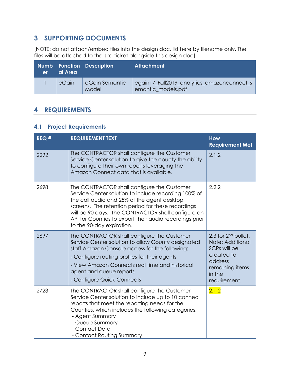# <span id="page-8-0"></span>**3 SUPPORTING DOCUMENTS**

[NOTE: do not attach/embed files into the design doc, list here by filename only. The files will be attached to the Jira ticket alongside this design doc]

| er | al Area | <b>Numb Function Description</b> | <b>Attachment</b>                                                |
|----|---------|----------------------------------|------------------------------------------------------------------|
|    | eGain   | eGain Semantic<br>Model          | egain17_Fall2019_analytics_amazonconnect_s<br>emantic_models.pdf |

## <span id="page-8-1"></span>**4 REQUIREMENTS**

#### <span id="page-8-2"></span>**4.1 Project Requirements**

| REQ# | <b>REQUIREMENT TEXT</b>                                                                                                                                                                                                                                                                                                                                | <b>How</b><br><b>Requirement Met</b>                                                                                                                  |
|------|--------------------------------------------------------------------------------------------------------------------------------------------------------------------------------------------------------------------------------------------------------------------------------------------------------------------------------------------------------|-------------------------------------------------------------------------------------------------------------------------------------------------------|
| 2292 | The CONTRACTOR shall configure the Customer<br>Service Center solution to give the county the ability<br>to configure their own reports leveraging the<br>Amazon Connect data that is available.                                                                                                                                                       | 2.1.2                                                                                                                                                 |
| 2698 | The CONTRACTOR shall configure the Customer<br>Service Center solution to include recording 100% of<br>the call audio and 25% of the agent desktop<br>screens. The retention period for these recordings<br>will be 90 days. The CONTRACTOR shall configure an<br>API for Counties to export their audio recordings prior<br>to the 90-day expiration. | 2.2.2                                                                                                                                                 |
| 2697 | The CONTRACTOR shall configure the Customer<br>Service Center solution to allow County designated<br>staff Amazon Console access for the following:<br>- Configure routing profiles for their agents<br>- View Amazon Connects real time and historical<br>agent and queue reports<br>- Configure Quick Connects                                       | 2.3 for 2 <sup>nd</sup> bullet.<br>Note: Additional<br>SCR <sub>s</sub> will be<br>created to<br>address<br>remaining items<br>in the<br>requirement. |
| 2723 | The CONTRACTOR shall configure the Customer<br>Service Center solution to include up to 10 canned<br>reports that meet the reporting needs for the<br>Counties, which includes the following categories:<br>- Agent Summary<br>- Queue Summary<br>- Contact Detail<br>- Contact Routing Summary                                                        | 2.1.2                                                                                                                                                 |